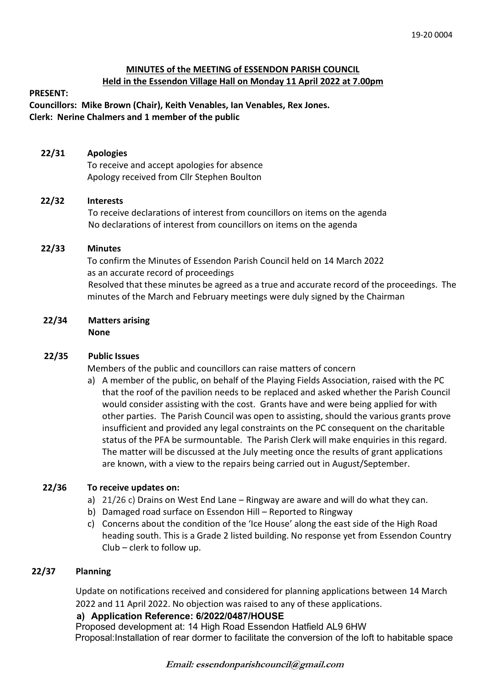#### **MINUTES of the MEETING of ESSENDON PARISH COUNCIL Held in the Essendon Village Hall on Monday 11 April 2022 at 7.00pm**

#### **PRESENT:**

**Councillors: Mike Brown (Chair), Keith Venables, Ian Venables, Rex Jones. Clerk: Nerine Chalmers and 1 member of the public**

#### **22/31 Apologies**

To receive and accept apologies for absence Apology received from Cllr Stephen Boulton

#### **22/32 Interests**

To receive declarations of interest from councillors on items on the agenda No declarations of interest from councillors on items on the agenda

#### **22/33 Minutes**

 To confirm the Minutes of Essendon Parish Council held on 14 March 2022 as an accurate record of proceedings Resolved that these minutes be agreed as a true and accurate record of the proceedings. The minutes of the March and February meetings were duly signed by the Chairman

## **22/34 Matters arising**

**None**

#### **22/35 Public Issues**

Members of the public and councillors can raise matters of concern

a) A member of the public, on behalf of the Playing Fields Association, raised with the PC that the roof of the pavilion needs to be replaced and asked whether the Parish Council would consider assisting with the cost. Grants have and were being applied for with other parties. The Parish Council was open to assisting, should the various grants prove insufficient and provided any legal constraints on the PC consequent on the charitable status of the PFA be surmountable. The Parish Clerk will make enquiries in this regard. The matter will be discussed at the July meeting once the results of grant applications are known, with a view to the repairs being carried out in August/September.

#### **22/36 To receive updates on:**

- a) 21/26 c) Drains on West End Lane Ringway are aware and will do what they can.
- b) Damaged road surface on Essendon Hill Reported to Ringway
- c) Concerns about the condition of the 'Ice House' along the east side of the High Road heading south. This is a Grade 2 listed building. No response yet from Essendon Country Club – clerk to follow up.

#### **22/37 Planning**

Update on notifications received and considered for planning applications between 14 March 2022 and 11 April 2022. No objection was raised to any of these applications.

#### **a) Application Reference: 6/2022/0487/HOUSE**

Proposed development at: 14 High Road Essendon Hatfield AL9 6HW Proposal:Installation of rear dormer to facilitate the conversion of the loft to habitable space